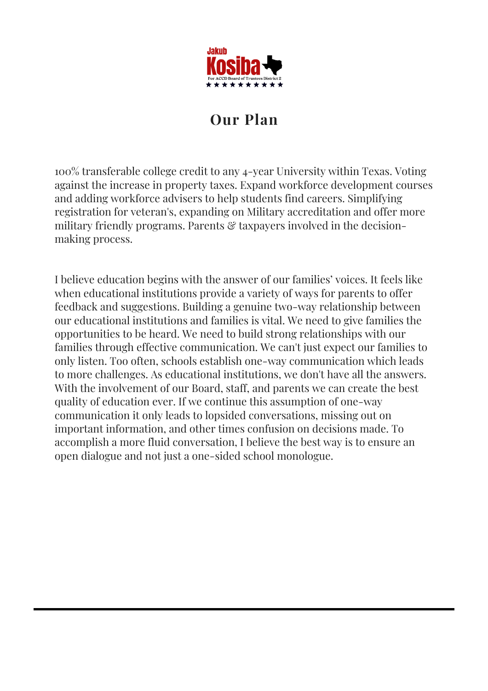

## **Our Plan**

100% transferable college credit to any 4-year University within Texas. Voting against the increase in property taxes. Expand workforce development courses and adding workforce advisers to help students find careers. Simplifying registration for veteran's, expanding on Military accreditation and offer more military friendly programs. Parents & taxpayers involved in the decisionmaking process.

I believe education begins with the answer of our families' voices. It feels like when educational institutions provide a variety of ways for parents to offer feedback and suggestions. Building a genuine two-way relationship between our educational institutions and families is vital. We need to give families the opportunities to be heard. We need to build strong relationships with our families through effective communication. We can't just expect our families to only listen. Too often, schools establish one-way communication which leads to more challenges. As educational institutions, we don't have all the answers. With the involvement of our Board, staff, and parents we can create the best quality of education ever. If we continue this assumption of one-way communication it only leads to lopsided conversations, missing out on important information, and other times confusion on decisions made. To accomplish a more fluid conversation, I believe the best way is to ensure an open dialogue and not just a one-sided school monologue.